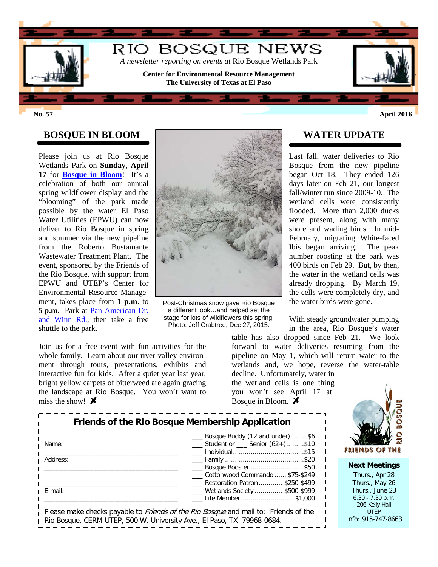

**No. 57 April 2016**

## **BOSQUE IN BLOOM**

Please join us at Rio Bosque Wetlands Park on **Sunday, April 17** for **[Bosque in Bloom](http://research.utep.edu/Default.aspx?tabid=25779)**! It's a celebration of both our annual spring wildflower display and the "blooming" of the park made possible by the water El Paso Water Utilities (EPWU) can now deliver to Rio Bosque in spring and summer via the new pipeline from the Roberto Bustamante Wastewater Treatment Plant. The event, sponsored by the Friends of the Rio Bosque, with support from EPWU and UTEP's Center for Environmental Resource Management, takes place from **1 p.m**. to **5 p.m.** Park at [Pan American Dr.](http://research.utep.edu/Portals/72/Rio%20Bosque/Images/Bosque%20in%20Bloom%20parking.jpg)  [and Winn Rd.,](http://research.utep.edu/Portals/72/Rio%20Bosque/Images/Bosque%20in%20Bloom%20parking.jpg) then take a free shuttle to the park.



Post-Christmas snow gave Rio Bosque a different look…and helped set the stage for lots of wildflowers this spring. Photo: Jeff Crabtree, Dec 27, 2015.

Join us for a free event with fun activities for the whole family. Learn about our river-valley environment through tours, presentations, exhibits and interactive fun for kids. After a quiet year last year, bright yellow carpets of bitterweed are again gracing the landscape at Rio Bosque. You won't want to miss the show!  $\boldsymbol{\mathcal{F}}$ 

**WATER UPDATE**

Last fall, water deliveries to Rio Bosque from the new pipeline began Oct 18. They ended 126 days later on Feb 21, our longest fall/winter run since 2009-10. The wetland cells were consistently flooded. More than 2,000 ducks were present, along with many shore and wading birds. In mid-February, migrating White-faced Ibis began arriving. The peak number roosting at the park was 400 birds on Feb 29. But, by then, the water in the wetland cells was already dropping. By March 19, the cells were completely dry, and the water birds were gone.

With steady groundwater pumping in the area, Rio Bosque's water

table has also dropped since Feb 21. We look forward to water deliveries resuming from the pipeline on May 1, which will return water to the wetlands and, we hope, reverse the water-table decline. Unfortunately, water in

the wetland cells is one thing you won't see April 17 at Bosque in Bloom.  $\cancel{\blacktriangleright}$ 



**Next Meetings** Thurs., Apr 28 Thurs., May 26 Thurs., June 23 6:30 - 7:30 p.m. 206 Kelly Hall

UTEP Info: 915-747-8663

| Friends of the Rio Bosque Membership Application |                                                                                           |  |  |  |  |  |  |
|--------------------------------------------------|-------------------------------------------------------------------------------------------|--|--|--|--|--|--|
| Name:                                            | Bosque Buddy (12 and under)  \$6<br>Student or Senior (62+)\$10                           |  |  |  |  |  |  |
| Address:                                         | Bosque Booster \$50<br>Cottonwood Commando  \$75-\$249<br>Restoration Patron  \$250-\$499 |  |  |  |  |  |  |
| E-mail:                                          | ___ Wetlands Society  \$500-\$999<br>Life Member \$1,000                                  |  |  |  |  |  |  |

Rio Bosque, CERM-UTEP, 500 W. University Ave., El Paso, TX 79968-0684.